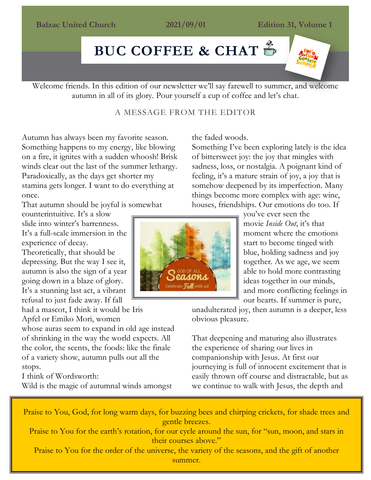#### **Balzac United Church 2021/09/01 Edition 31, Volume 1**

# Balzac United Church 2021/09/01 [Editio](https://www.google.ca/url?sa=i&url=https://www.clipart.email/clipart/coffee-cup-coffee-mug-clipart-295772.html&psig=AOvVaw3j5M9Rj1h1YEjlnzcOzD-9&ust=1588354002530000&source=images&cd=vfe&ved=0CAIQjRxqFwoTCKjm_vLVkOkCFQAAAAAdAAAAABAI)n 14, Volume 1 **BUC COFFEE & CHAT**

Welcome friends. In this edition of our newsletter we'll say farewell to summer, and welcome autumn in all of its glory. Pour yourself a cup of coffee and let's chat.

#### A MESSAGE FROM THE EDITOR

Autumn has always been my favorite season. Something happens to my energy, like blowing on a fire, it ignites with a sudden whoosh! Brisk winds clear out the last of the summer lethargy. Paradoxically, as the days get shorter my stamina gets longer. I want to do everything at once.

That autumn should be joyful is somewhat

counterintuitive. It's a slow slide into winter's barrenness. It's a full-scale immersion in the experience of decay.

Theoretically, that should be depressing. But the way I see it, autumn is also the sign of a year going down in a blaze of glory. It's a stunning last act, a vibrant refusal to just fade away. If fall

had a mascot, I think it would be [Iris](https://www.instagram.com/iris.apfel/?hl=en) [Apfel](https://www.instagram.com/iris.apfel/?hl=en) or [Emiko](https://aestheticsofjoy.com/2016/01/joyful-fashion-chinami-moris-colorful-weavings-and-her-model-grandmother/) Mori, women

whose auras seem to expand in old age instead of shrinking in the way the world expects. All the color, the scents, the foods: like the finale of a variety show, autumn pulls out all the stops.

I think of Wordsworth:

Wild is the magic of autumnal winds amongst



the faded woods.

Something I've been exploring lately is the idea of bittersweet joy: the joy that mingles with sadness, loss, or nostalgia. A poignant kind of feeling, it's a mature strain of joy, a joy that is somehow deepened by its imperfection. Many things become more complex with age: wine, houses, friendships. Our emotions do too. If

> you've ever seen the movie *[Inside](http://movies.disney.com/inside-out) Out*, it's that moment where the emotions start to become tinged with blue, holding sadness and joy together. As we age, we seem able to hold more contrasting ideas together in our minds, and more conflicting feelings in our hearts. If summer is pure,

unadulterated joy, then autumn is a deeper, less obvious pleasure.

That deepening and maturing also illustrates the experience of sharing our lives in companionship with Jesus. At first our journeying is full of innocent excitement that is easily thrown off course and distractable, but as we continue to walk with Jesus, the depth and

Praise to You, God, for long warm days, for buzzing bees and chirping crickets, for shade trees and gentle breezes.

Praise to You for the earth's rotation, for our cycle around the sun, for "sun, moon, and stars in their courses above."

Praise to You for the order of the universe, the variety of the seasons, and the gift of another summer.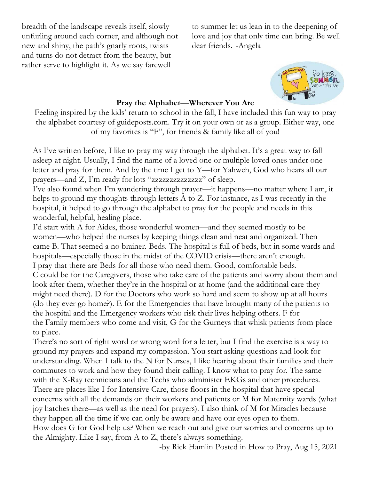breadth of the landscape reveals itself, slowly unfurling around each corner, and although not new and shiny, the path's gnarly roots, twists and turns do not detract from the beauty, but rather serve to highlight it. As we say farewell

to summer let us lean in to the deepening of love and joy that only time can bring. Be well dear friends. -Angela



#### **Pray the Alphabet—Wherever You Are**

Feeling inspired by the kids' return to school in the fall, I have included this fun way to pray the alphabet courtesy of guideposts.com. Try it on your own or as a group. Either way, one of my favorites is "F", for friends & family like all of you!

As I've written before, I like to [pray my way through the alphabet.](https://www.guideposts.org/node/60337) It's a great way to fall asleep at night. Usually, I find the name of a loved one or multiple loved ones under one letter and pray for them. And by the time I get to Y—for Yahweh, God who hears all our prayers—and Z, I'm ready for lots "zzzzzzzzzzzzzz" of sleep.

I've also found when I'm wandering through prayer—it happens—no matter where I am, it helps to ground my thoughts [through letters A to Z.](https://www.guideposts.org/node/59519) For instance, as I was recently in the hospital, it helped to go through the alphabet to pray for the people and needs in [this](https://www.guideposts.org/node/101299)  [wonderful, helpful, healing place.](https://www.guideposts.org/node/101299)

I'd start with A for Aides, those wonderful women—and they seemed mostly to be women—who helped the nurses by keeping things clean and neat and organized. Then came B. That seemed a no brainer. Beds. The hospital is full of beds, but in some wards and hospitals—especially [those in the midst of the COVID crisis](https://www.guideposts.org/node/81133)—there aren't enough. I pray that there are Beds for all those who need them. Good, comfortable beds. C [could be for the](https://www.guideposts.org/node/81173) Caregivers, those who take care of the patients and worry about them and look after them, whether they're in the hospital or at home (and the additional care they might need there). D for the Doctors who work so hard and seem to show up at all hours (do they ever go home?). E for the Emergencies that have brought many of the patients to the hospital and the Emergency workers who risk their lives helping others. F for the Family members who come and visit, G for the Gurneys that whisk patients from place to place.

There's no sort of right word or wrong word for a letter, but I find the exercise is a way to ground my prayers and expand my compassion. You start asking questions and look for understanding. [When I talk to the](https://www.guideposts.org/node/67917) N for Nurses, I like hearing about their families and their commutes to work and how they found their calling. I know what to pray for. The same with the X-Ray technicians and the Techs who administer EKGs and other procedures. There are places like I for [Intensive Care,](https://www.guideposts.org/node/42392) those floors in the hospital that have special concerns with all the demands on their workers and patients or M for Maternity wards (what joy hatches there—as well as the need for prayers). I also think of M for Miracles because they happen all the time if we can only be aware and have our eyes open to them. [How does](https://www.guideposts.org/node/78097) G for God help us? When we reach out and give our worries and concerns up to the Almighty. Like I say, from A to Z, there's always something.

-by Rick Hamlin Posted in How to Pray, Aug 15, 2021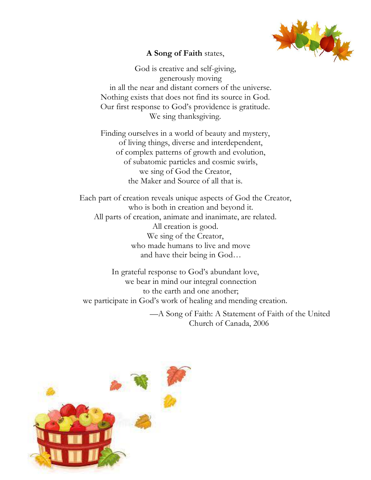

### **A Song of Faith** states,

God is creative and self-giving, generously moving in all the near and distant corners of the universe. Nothing exists that does not find its source in God. Our first response to God's providence is gratitude. We sing thanksgiving.

Finding ourselves in a world of beauty and mystery, of living things, diverse and interdependent, of complex patterns of growth and evolution, of subatomic particles and cosmic swirls, we sing of God the Creator, the Maker and Source of all that is.

Each part of creation reveals unique aspects of God the Creator, who is both in creation and beyond it. All parts of creation, animate and inanimate, are related. All creation is good. We sing of the Creator, who made humans to live and move and have their being in God…

In grateful response to God's abundant love, we bear in mind our integral connection to the earth and one another; we participate in God's work of healing and mending creation.

> —A Song of Faith: A Statement of Faith of the United Church of Canada, 2006

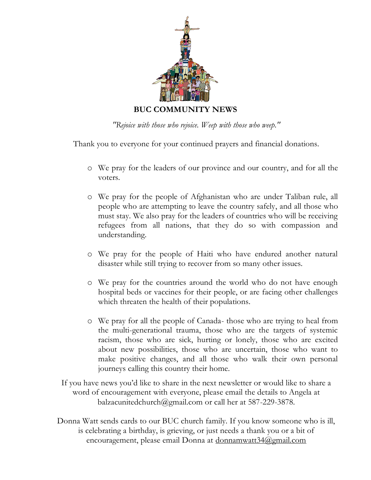

*"Rejoice with those who rejoice. Weep with those who weep."*

Thank you to everyone for your continued prayers and financial donations.

- o We pray for the leaders of our province and our country, and for all the voters.
- o We pray for the people of Afghanistan who are under Taliban rule, all people who are attempting to leave the country safely, and all those who must stay. We also pray for the leaders of countries who will be receiving refugees from all nations, that they do so with compassion and understanding.
- o We pray for the people of Haiti who have endured another natural disaster while still trying to recover from so many other issues.
- o We pray for the countries around the world who do not have enough hospital beds or vaccines for their people, or are facing other challenges which threaten the health of their populations.
- o We pray for all the people of Canada- those who are trying to heal from the multi-generational trauma, those who are the targets of systemic racism, those who are sick, hurting or lonely, those who are excited about new possibilities, those who are uncertain, those who want to make positive changes, and all those who walk their own personal journeys calling this country their home.
- If you have news you'd like to share in the next newsletter or would like to share a word of encouragement with everyone, please email the details to Angela at balzacunitedchurch@gmail.com or call her at 587-229-3878.
- Donna Watt sends cards to our BUC church family. If you know someone who is ill, is celebrating a birthday, is grieving, or just needs a thank you or a bit of encouragement, please email Donna at [donnamwatt34@gmail.com](mailto:donnamwatt34@gmail.com)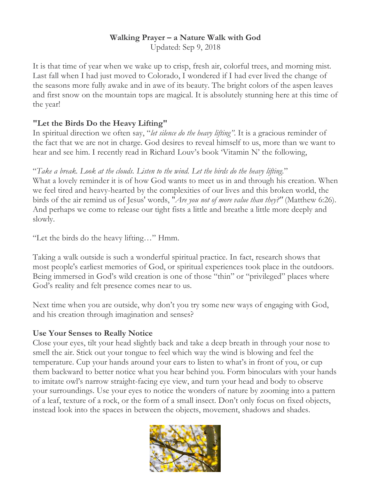# **Walking Prayer – a Nature Walk with God**

Updated: Sep 9, 2018

It is that time of year when we wake up to crisp, fresh air, colorful trees, and morning mist. Last fall when I had just moved to Colorado, I wondered if I had ever lived the change of the seasons more fully awake and in awe of its beauty. The bright colors of the aspen leaves and first snow on the mountain tops are magical. It is absolutely stunning here at this time of the year!

## **"Let the Birds Do the Heavy Lifting"**

In spiritual direction we often say, "*let silence do the heavy lifting"*. It is a gracious reminder of the fact that we are not in charge. God desires to reveal himself to us, more than we want to hear and see him. I recently read in Richard Louv's book 'Vitamin N' the following,

"*Take a break. Look at the clouds. Listen to the wind. Let the birds do the heavy lifting.*" What a lovely reminder it is of how God wants to meet us in and through his creation. When we feel tired and heavy-hearted by the complexities of our lives and this broken world, the birds of the air remind us of Jesus' words, "*Are you not of more value than they?"* (Matthew 6:26). And perhaps we come to release our tight fists a little and breathe a little more deeply and slowly.

"Let the birds do the heavy lifting…" Hmm.

Taking a walk outside is such a wonderful spiritual practice. In fact, research shows that most people's earliest memories of God, or spiritual experiences took place in the outdoors. Being immersed in God's wild creation is one of those "thin" or "privileged" places where God's reality and felt presence comes near to us.

Next time when you are outside, why don't you try some new ways of engaging with God, and his creation through imagination and senses?

## **Use Your Senses to Really Notice**

Close your eyes, tilt your head slightly back and take a deep breath in through your nose to smell the air. Stick out your tongue to feel which way the wind is blowing and feel the temperature. Cup your hands around your ears to listen to what's in front of you, or cup them backward to better notice what you hear behind you. Form binoculars with your hands to imitate owl's narrow straight-facing eye view, and turn your head and body to observe your surroundings. Use your eyes to notice the wonders of nature by zooming into a pattern of a leaf, texture of a rock, or the form of a small insect. Don't only focus on fixed objects, instead look into the spaces in between the objects, movement, shadows and shades.

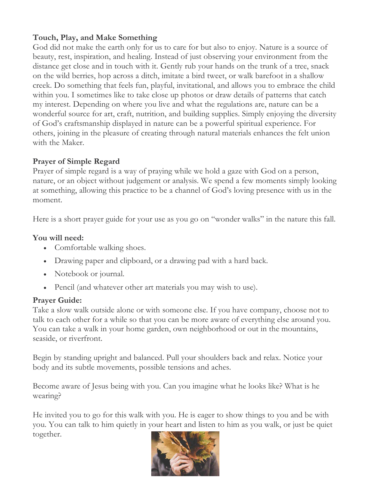## **Touch, Play, and Make Something**

God did not make the earth only for us to care for but also to enjoy. Nature is a source of beauty, rest, inspiration, and healing. Instead of just observing your environment from the distance get close and in touch with it. Gently rub your hands on the trunk of a tree, snack on the wild berries, hop across a ditch, imitate a bird tweet, or walk barefoot in a shallow creek. Do something that feels fun, playful, invitational, and allows you to embrace the child within you. I sometimes like to take close up photos or draw details of patterns that catch my interest. Depending on where you live and what the regulations are, nature can be a wonderful source for art, craft, nutrition, and building supplies. Simply enjoying the diversity of God's craftsmanship displayed in nature can be a powerful spiritual experience. For others, joining in the pleasure of creating through natural materials enhances the felt union with the Maker.

### **Prayer of Simple Regard**

Prayer of simple regard is a way of praying while we hold a gaze with God on a person, nature, or an object without judgement or analysis. We spend a few moments simply looking at something, allowing this practice to be a channel of God's loving presence with us in the moment.

Here is a short prayer guide for your use as you go on "wonder walks" in the nature this fall.

## **You will need:**

- Comfortable walking shoes.
- Drawing paper and clipboard, or a drawing pad with a hard back.
- Notebook or journal.
- Pencil (and whatever other art materials you may wish to use).

#### **Prayer Guide:**

Take a slow walk outside alone or with someone else. If you have company, choose not to talk to each other for a while so that you can be more aware of everything else around you. You can take a walk in your home garden, own neighborhood or out in the mountains, seaside, or riverfront.

Begin by standing upright and balanced. Pull your shoulders back and relax. Notice your body and its subtle movements, possible tensions and aches.

Become aware of Jesus being with you. Can you imagine what he looks like? What is he wearing?

He invited you to go for this walk with you. He is eager to show things to you and be with you. You can talk to him quietly in your heart and listen to him as you walk, or just be quiet together.

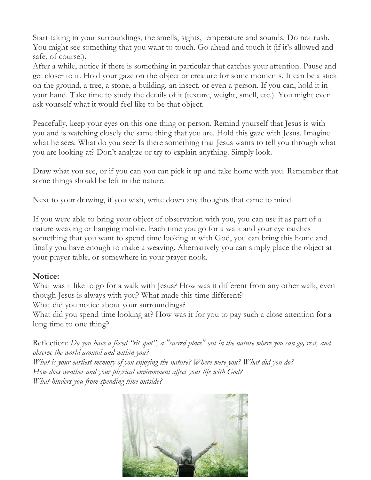Start taking in your surroundings, the smells, sights, temperature and sounds. Do not rush. You might see something that you want to touch. Go ahead and touch it (if it's allowed and safe, of course!).

After a while, notice if there is something in particular that catches your attention. Pause and get closer to it. Hold your gaze on the object or creature for some moments. It can be a stick on the ground, a tree, a stone, a building, an insect, or even a person. If you can, hold it in your hand. Take time to study the details of it (texture, weight, smell, etc.). You might even ask yourself what it would feel like to be that object.

Peacefully, keep your eyes on this one thing or person. Remind yourself that Jesus is with you and is watching closely the same thing that you are. Hold this gaze with Jesus. Imagine what he sees. What do you see? Is there something that Jesus wants to tell you through what you are looking at? Don't analyze or try to explain anything. Simply look.

Draw what you see, or if you can you can pick it up and take home with you. Remember that some things should be left in the nature.

Next to your drawing, if you wish, write down any thoughts that came to mind.

If you were able to bring your object of observation with you, you can use it as part of a nature weaving or hanging mobile. Each time you go for a walk and your eye catches something that you want to spend time looking at with God, you can bring this home and finally you have enough to make a weaving. Alternatively you can simply place the object at your prayer table, or somewhere in your prayer nook.

## **Notice:**

What was it like to go for a walk with Jesus? How was it different from any other walk, even though Jesus is always with you? What made this time different?

What did you notice about your surroundings?

What did you spend time looking at? How was it for you to pay such a close attention for a long time to one thing?

Reflection: Do you have a fixed "sit spot", a "sacred place" out in the nature where you can go, rest, and *observe the world around and within you?*

*What is your earliest memory of you enjoying the nature? Where were you? What did you do? How does weather and your physical environment affect your life with God? What hinders you from spending time outside?*

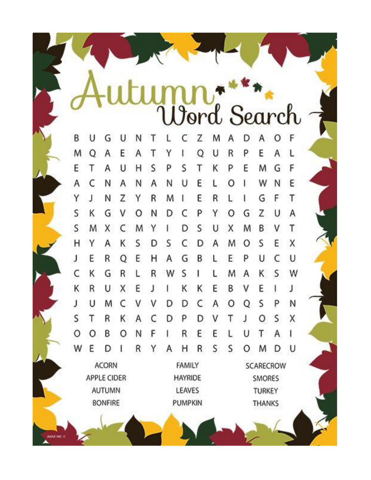**Dord Search** B U Z F G M D Α O U Ν C Α Τ E M O Ε Q U  $\mathsf{R}$ P A Α Α Υ I L Τ T S S T G F E U Ρ Κ P E M Α Η A C Ν U E W N E Ν Α Α  $\circ$ Ν L ŀ J Υ E R G T Ν Z Υ R M ŧ L I F S К P Z G N C Υ  $\circ$ G U ٧ D Α Ο S M S X M Y D U X M B ٧ Τ C Ł Υ S S C S X н Α Κ D D A M E 0 B E Ε R Q Ε н Α G P U C U J L К S C R R W M К S W G L ŧ L Α R E E Κ U E Κ К B J Χ J ٧ L Ł C S U M C D D A  $\circ$ Q Ρ N J ٧ ٧ S Τ Χ R Κ D Ρ D Τ S ٧ O Α C J  $\circ$ F R E E T A O B O L U Ν 1 W E R S S U R Υ Α Η 0 M D D ı **ACORN FAMILY SCARECROW APPLE CIDER HAYRIDE** SMORES **AUTUMN** LEAVES **TURKEY BONFIRE PUMPKIN THANKS** 

**MAX NO. 0**